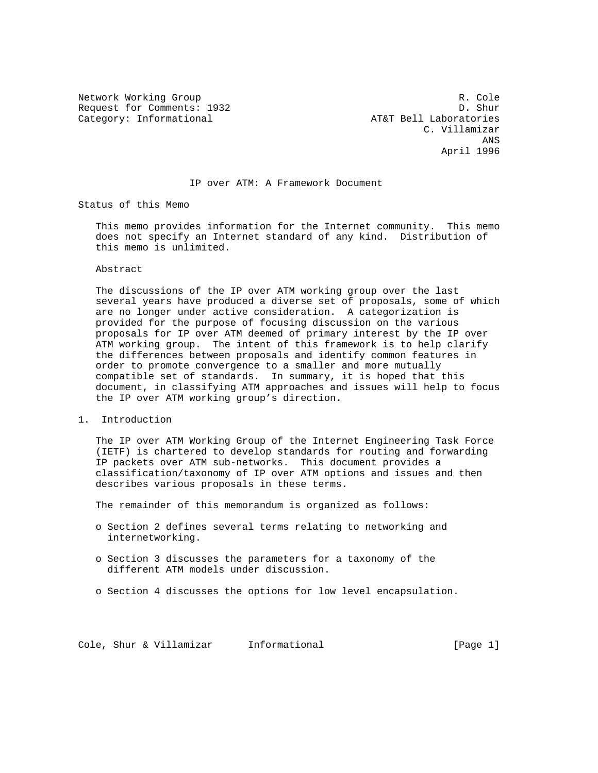Request for Comments: 1932<br>Category: Informational and D. Shur Category: Informational and D. Shur Category: Informational

Network Working Group and the set of the set of the set of the set of the set of the set of the set of the set of the set of the set of the set of the set of the set of the set of the set of the set of the set of the set o C. Villamizar **ANS** ANS April 1996

#### IP over ATM: A Framework Document

Status of this Memo

 This memo provides information for the Internet community. This memo does not specify an Internet standard of any kind. Distribution of this memo is unlimited.

### Abstract

 The discussions of the IP over ATM working group over the last several years have produced a diverse set of proposals, some of which are no longer under active consideration. A categorization is provided for the purpose of focusing discussion on the various proposals for IP over ATM deemed of primary interest by the IP over ATM working group. The intent of this framework is to help clarify the differences between proposals and identify common features in order to promote convergence to a smaller and more mutually compatible set of standards. In summary, it is hoped that this document, in classifying ATM approaches and issues will help to focus the IP over ATM working group's direction.

### 1. Introduction

 The IP over ATM Working Group of the Internet Engineering Task Force (IETF) is chartered to develop standards for routing and forwarding IP packets over ATM sub-networks. This document provides a classification/taxonomy of IP over ATM options and issues and then describes various proposals in these terms.

The remainder of this memorandum is organized as follows:

- o Section 2 defines several terms relating to networking and internetworking.
- o Section 3 discusses the parameters for a taxonomy of the different ATM models under discussion.
- o Section 4 discusses the options for low level encapsulation.

Cole, Shur & Villamizar Informational [Page 1]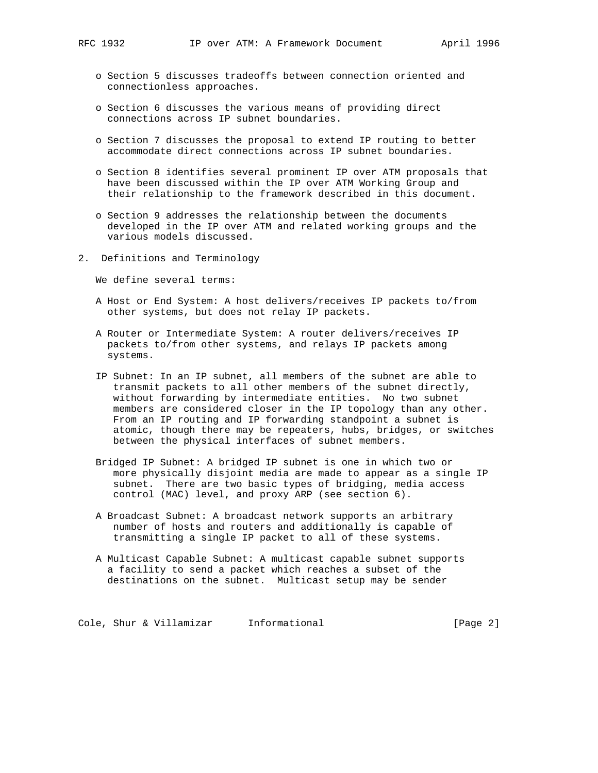- o Section 5 discusses tradeoffs between connection oriented and connectionless approaches.
- o Section 6 discusses the various means of providing direct connections across IP subnet boundaries.
- o Section 7 discusses the proposal to extend IP routing to better accommodate direct connections across IP subnet boundaries.
- o Section 8 identifies several prominent IP over ATM proposals that have been discussed within the IP over ATM Working Group and their relationship to the framework described in this document.
- o Section 9 addresses the relationship between the documents developed in the IP over ATM and related working groups and the various models discussed.
- 2. Definitions and Terminology

We define several terms:

- A Host or End System: A host delivers/receives IP packets to/from other systems, but does not relay IP packets.
- A Router or Intermediate System: A router delivers/receives IP packets to/from other systems, and relays IP packets among systems.
- IP Subnet: In an IP subnet, all members of the subnet are able to transmit packets to all other members of the subnet directly, without forwarding by intermediate entities. No two subnet members are considered closer in the IP topology than any other. From an IP routing and IP forwarding standpoint a subnet is atomic, though there may be repeaters, hubs, bridges, or switches between the physical interfaces of subnet members.
- Bridged IP Subnet: A bridged IP subnet is one in which two or more physically disjoint media are made to appear as a single IP subnet. There are two basic types of bridging, media access control (MAC) level, and proxy ARP (see section 6).
- A Broadcast Subnet: A broadcast network supports an arbitrary number of hosts and routers and additionally is capable of transmitting a single IP packet to all of these systems.
- A Multicast Capable Subnet: A multicast capable subnet supports a facility to send a packet which reaches a subset of the destinations on the subnet. Multicast setup may be sender

Cole, Shur & Villamizar Informational [Page 2]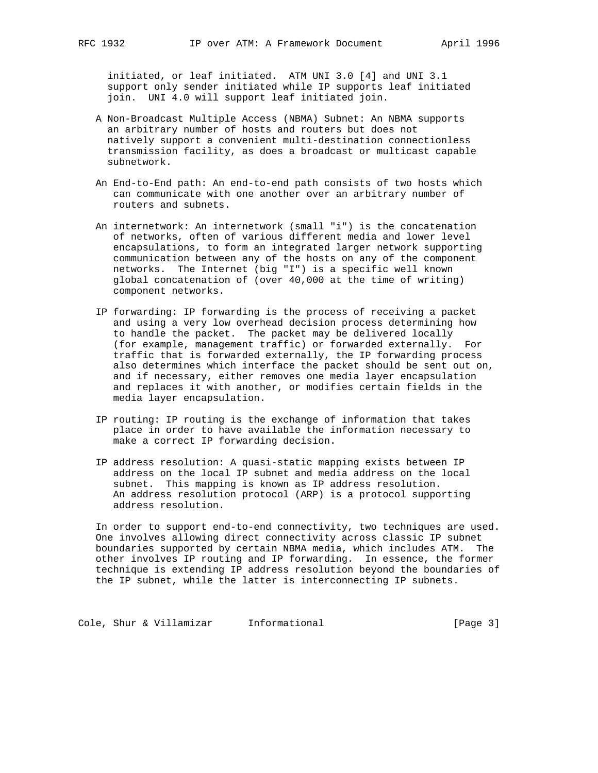initiated, or leaf initiated. ATM UNI 3.0 [4] and UNI 3.1 support only sender initiated while IP supports leaf initiated join. UNI 4.0 will support leaf initiated join.

- A Non-Broadcast Multiple Access (NBMA) Subnet: An NBMA supports an arbitrary number of hosts and routers but does not natively support a convenient multi-destination connectionless transmission facility, as does a broadcast or multicast capable subnetwork.
- An End-to-End path: An end-to-end path consists of two hosts which can communicate with one another over an arbitrary number of routers and subnets.
- An internetwork: An internetwork (small "i") is the concatenation of networks, often of various different media and lower level encapsulations, to form an integrated larger network supporting communication between any of the hosts on any of the component networks. The Internet (big "I") is a specific well known global concatenation of (over 40,000 at the time of writing) component networks.
- IP forwarding: IP forwarding is the process of receiving a packet and using a very low overhead decision process determining how to handle the packet. The packet may be delivered locally (for example, management traffic) or forwarded externally. For traffic that is forwarded externally, the IP forwarding process also determines which interface the packet should be sent out on, and if necessary, either removes one media layer encapsulation and replaces it with another, or modifies certain fields in the media layer encapsulation.
- IP routing: IP routing is the exchange of information that takes place in order to have available the information necessary to make a correct IP forwarding decision.
- IP address resolution: A quasi-static mapping exists between IP address on the local IP subnet and media address on the local subnet. This mapping is known as IP address resolution. An address resolution protocol (ARP) is a protocol supporting address resolution.

 In order to support end-to-end connectivity, two techniques are used. One involves allowing direct connectivity across classic IP subnet boundaries supported by certain NBMA media, which includes ATM. The other involves IP routing and IP forwarding. In essence, the former technique is extending IP address resolution beyond the boundaries of the IP subnet, while the latter is interconnecting IP subnets.

Cole, Shur & Villamizar Informational (Page 3)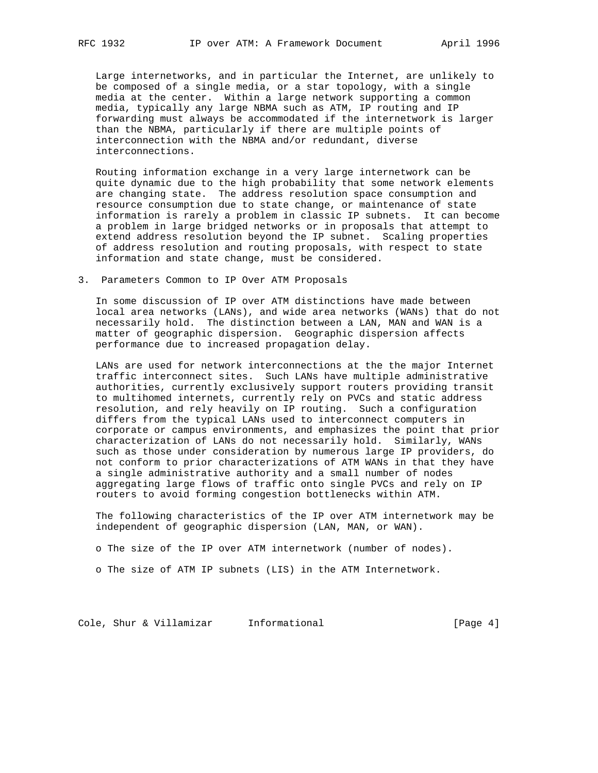Large internetworks, and in particular the Internet, are unlikely to be composed of a single media, or a star topology, with a single media at the center. Within a large network supporting a common media, typically any large NBMA such as ATM, IP routing and IP forwarding must always be accommodated if the internetwork is larger than the NBMA, particularly if there are multiple points of interconnection with the NBMA and/or redundant, diverse interconnections.

 Routing information exchange in a very large internetwork can be quite dynamic due to the high probability that some network elements are changing state. The address resolution space consumption and resource consumption due to state change, or maintenance of state information is rarely a problem in classic IP subnets. It can become a problem in large bridged networks or in proposals that attempt to extend address resolution beyond the IP subnet. Scaling properties of address resolution and routing proposals, with respect to state information and state change, must be considered.

3. Parameters Common to IP Over ATM Proposals

 In some discussion of IP over ATM distinctions have made between local area networks (LANs), and wide area networks (WANs) that do not necessarily hold. The distinction between a LAN, MAN and WAN is a matter of geographic dispersion. Geographic dispersion affects performance due to increased propagation delay.

 LANs are used for network interconnections at the the major Internet traffic interconnect sites. Such LANs have multiple administrative authorities, currently exclusively support routers providing transit to multihomed internets, currently rely on PVCs and static address resolution, and rely heavily on IP routing. Such a configuration differs from the typical LANs used to interconnect computers in corporate or campus environments, and emphasizes the point that prior characterization of LANs do not necessarily hold. Similarly, WANs such as those under consideration by numerous large IP providers, do not conform to prior characterizations of ATM WANs in that they have a single administrative authority and a small number of nodes aggregating large flows of traffic onto single PVCs and rely on IP routers to avoid forming congestion bottlenecks within ATM.

 The following characteristics of the IP over ATM internetwork may be independent of geographic dispersion (LAN, MAN, or WAN).

o The size of the IP over ATM internetwork (number of nodes).

o The size of ATM IP subnets (LIS) in the ATM Internetwork.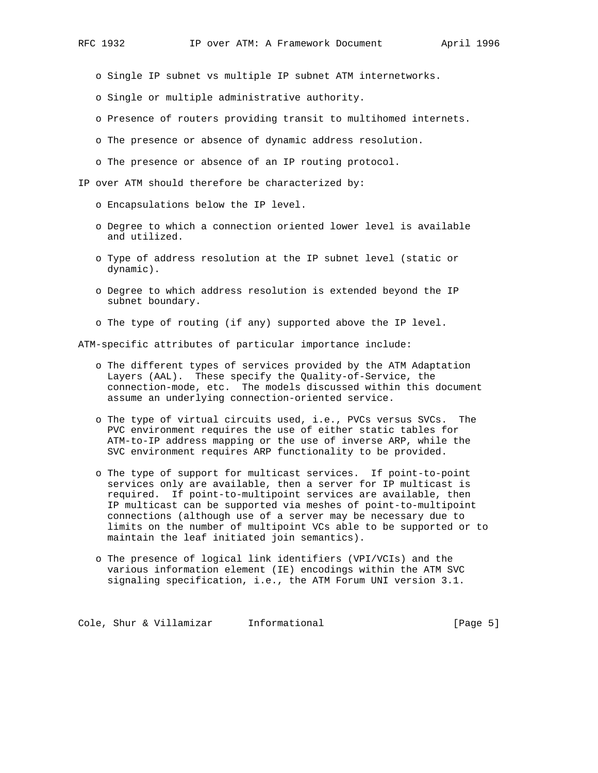- o Single IP subnet vs multiple IP subnet ATM internetworks.
- o Single or multiple administrative authority.
- o Presence of routers providing transit to multihomed internets.
- o The presence or absence of dynamic address resolution.
- o The presence or absence of an IP routing protocol.

IP over ATM should therefore be characterized by:

- o Encapsulations below the IP level.
- o Degree to which a connection oriented lower level is available and utilized.
- o Type of address resolution at the IP subnet level (static or dynamic).
- o Degree to which address resolution is extended beyond the IP subnet boundary.
- o The type of routing (if any) supported above the IP level.

ATM-specific attributes of particular importance include:

- o The different types of services provided by the ATM Adaptation Layers (AAL). These specify the Quality-of-Service, the connection-mode, etc. The models discussed within this document assume an underlying connection-oriented service.
- o The type of virtual circuits used, i.e., PVCs versus SVCs. The PVC environment requires the use of either static tables for ATM-to-IP address mapping or the use of inverse ARP, while the SVC environment requires ARP functionality to be provided.
- o The type of support for multicast services. If point-to-point services only are available, then a server for IP multicast is required. If point-to-multipoint services are available, then IP multicast can be supported via meshes of point-to-multipoint connections (although use of a server may be necessary due to limits on the number of multipoint VCs able to be supported or to maintain the leaf initiated join semantics).
- o The presence of logical link identifiers (VPI/VCIs) and the various information element (IE) encodings within the ATM SVC signaling specification, i.e., the ATM Forum UNI version 3.1.

Cole, Shur & Villamizar Informational [Page 5]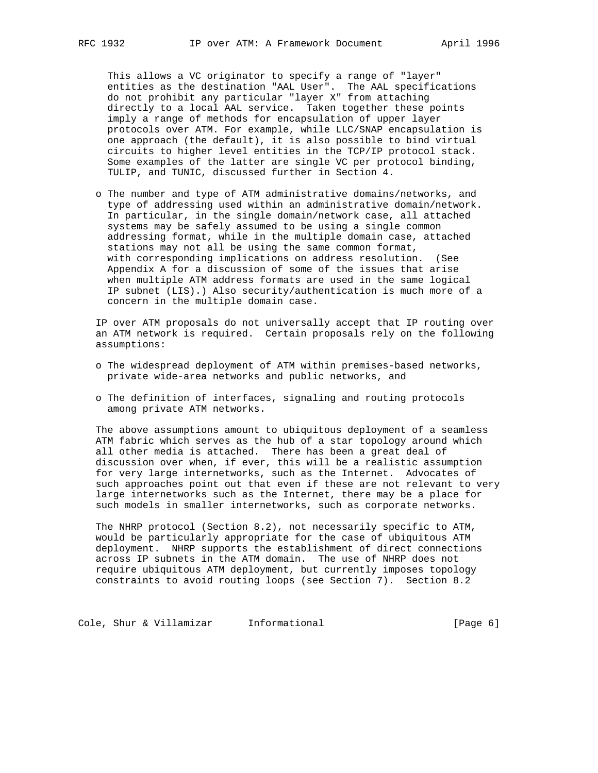This allows a VC originator to specify a range of "layer" entities as the destination "AAL User". The AAL specifications do not prohibit any particular "layer X" from attaching directly to a local AAL service. Taken together these points imply a range of methods for encapsulation of upper layer protocols over ATM. For example, while LLC/SNAP encapsulation is one approach (the default), it is also possible to bind virtual circuits to higher level entities in the TCP/IP protocol stack. Some examples of the latter are single VC per protocol binding, TULIP, and TUNIC, discussed further in Section 4.

 o The number and type of ATM administrative domains/networks, and type of addressing used within an administrative domain/network. In particular, in the single domain/network case, all attached systems may be safely assumed to be using a single common addressing format, while in the multiple domain case, attached stations may not all be using the same common format, with corresponding implications on address resolution. (See Appendix A for a discussion of some of the issues that arise when multiple ATM address formats are used in the same logical IP subnet (LIS).) Also security/authentication is much more of a concern in the multiple domain case.

 IP over ATM proposals do not universally accept that IP routing over an ATM network is required. Certain proposals rely on the following assumptions:

- o The widespread deployment of ATM within premises-based networks, private wide-area networks and public networks, and
- o The definition of interfaces, signaling and routing protocols among private ATM networks.

 The above assumptions amount to ubiquitous deployment of a seamless ATM fabric which serves as the hub of a star topology around which all other media is attached. There has been a great deal of discussion over when, if ever, this will be a realistic assumption for very large internetworks, such as the Internet. Advocates of such approaches point out that even if these are not relevant to very large internetworks such as the Internet, there may be a place for such models in smaller internetworks, such as corporate networks.

 The NHRP protocol (Section 8.2), not necessarily specific to ATM, would be particularly appropriate for the case of ubiquitous ATM deployment. NHRP supports the establishment of direct connections across IP subnets in the ATM domain. The use of NHRP does not require ubiquitous ATM deployment, but currently imposes topology constraints to avoid routing loops (see Section 7). Section 8.2

Cole, Shur & Villamizar Informational (Page 6)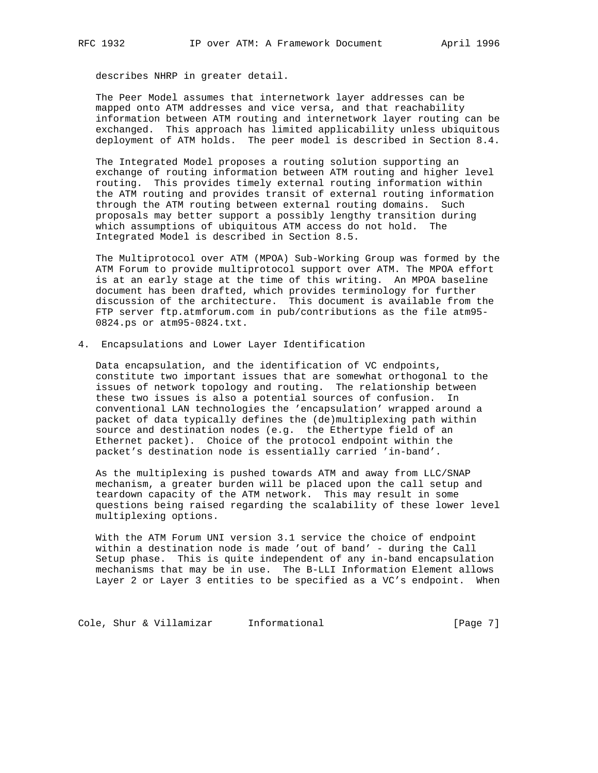describes NHRP in greater detail.

 The Peer Model assumes that internetwork layer addresses can be mapped onto ATM addresses and vice versa, and that reachability information between ATM routing and internetwork layer routing can be exchanged. This approach has limited applicability unless ubiquitous deployment of ATM holds. The peer model is described in Section 8.4.

 The Integrated Model proposes a routing solution supporting an exchange of routing information between ATM routing and higher level routing. This provides timely external routing information within the ATM routing and provides transit of external routing information through the ATM routing between external routing domains. Such proposals may better support a possibly lengthy transition during which assumptions of ubiquitous ATM access do not hold. The Integrated Model is described in Section 8.5.

 The Multiprotocol over ATM (MPOA) Sub-Working Group was formed by the ATM Forum to provide multiprotocol support over ATM. The MPOA effort is at an early stage at the time of this writing. An MPOA baseline document has been drafted, which provides terminology for further discussion of the architecture. This document is available from the FTP server ftp.atmforum.com in pub/contributions as the file atm95- 0824.ps or atm95-0824.txt.

4. Encapsulations and Lower Layer Identification

 Data encapsulation, and the identification of VC endpoints, constitute two important issues that are somewhat orthogonal to the issues of network topology and routing. The relationship between these two issues is also a potential sources of confusion. In conventional LAN technologies the 'encapsulation' wrapped around a packet of data typically defines the (de)multiplexing path within source and destination nodes (e.g. the Ethertype field of an Ethernet packet). Choice of the protocol endpoint within the packet's destination node is essentially carried 'in-band'.

 As the multiplexing is pushed towards ATM and away from LLC/SNAP mechanism, a greater burden will be placed upon the call setup and teardown capacity of the ATM network. This may result in some questions being raised regarding the scalability of these lower level multiplexing options.

 With the ATM Forum UNI version 3.1 service the choice of endpoint within a destination node is made 'out of band' - during the Call Setup phase. This is quite independent of any in-band encapsulation mechanisms that may be in use. The B-LLI Information Element allows Layer 2 or Layer 3 entities to be specified as a VC's endpoint. When

Cole, Shur & Villamizar Informational (Page 7)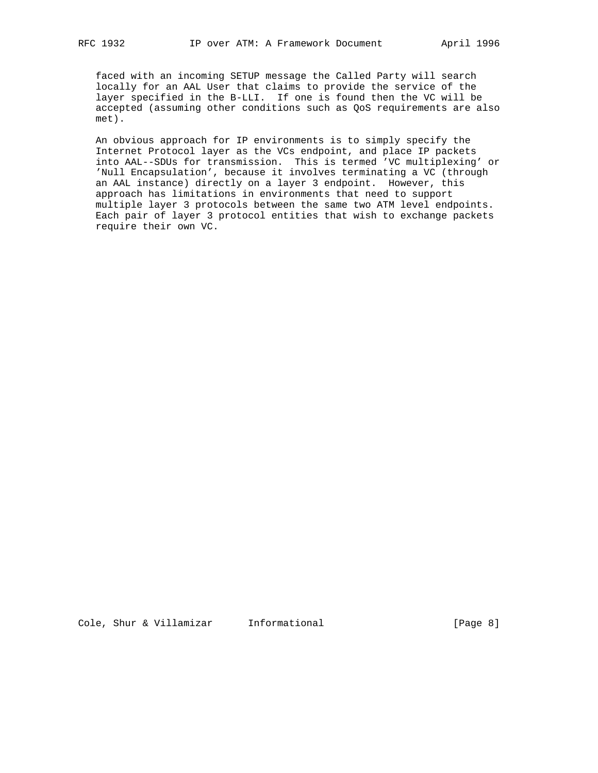faced with an incoming SETUP message the Called Party will search locally for an AAL User that claims to provide the service of the layer specified in the B-LLI. If one is found then the VC will be accepted (assuming other conditions such as QoS requirements are also met).

 An obvious approach for IP environments is to simply specify the Internet Protocol layer as the VCs endpoint, and place IP packets into AAL--SDUs for transmission. This is termed 'VC multiplexing' or 'Null Encapsulation', because it involves terminating a VC (through an AAL instance) directly on a layer 3 endpoint. However, this approach has limitations in environments that need to support multiple layer 3 protocols between the same two ATM level endpoints. Each pair of layer 3 protocol entities that wish to exchange packets require their own VC.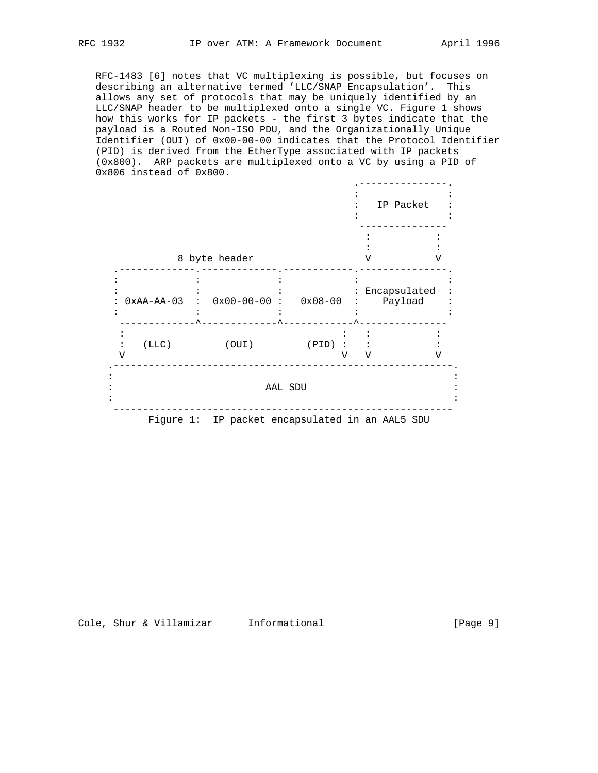RFC-1483 [6] notes that VC multiplexing is possible, but focuses on describing an alternative termed 'LLC/SNAP Encapsulation'. This allows any set of protocols that may be uniquely identified by an LLC/SNAP header to be multiplexed onto a single VC. Figure 1 shows how this works for IP packets - the first 3 bytes indicate that the payload is a Routed Non-ISO PDU, and the Organizationally Unique Identifier (OUI) of 0x00-00-00 indicates that the Protocol Identifier (PID) is derived from the EtherType associated with IP packets (0x800). ARP packets are multiplexed onto a VC by using a PID of 0x806 instead of 0x800.

|              |               |                                                 |             |   |   | IP Packet               |
|--------------|---------------|-------------------------------------------------|-------------|---|---|-------------------------|
|              | 8 byte header |                                                 |             |   |   | ٦Z                      |
| $0xAA-AA-03$ |               | $0x00-00-00$ :                                  | $0x08 - 00$ |   |   | Encapsulated<br>Payload |
| (LLC)<br>V   |               | (OUI)                                           | $(PID)$ :   | V | V | V                       |
|              |               | AAL SDU                                         |             |   |   |                         |
|              |               | Figure 1: IP packet encapsulated in an AAL5 SDU |             |   |   |                         |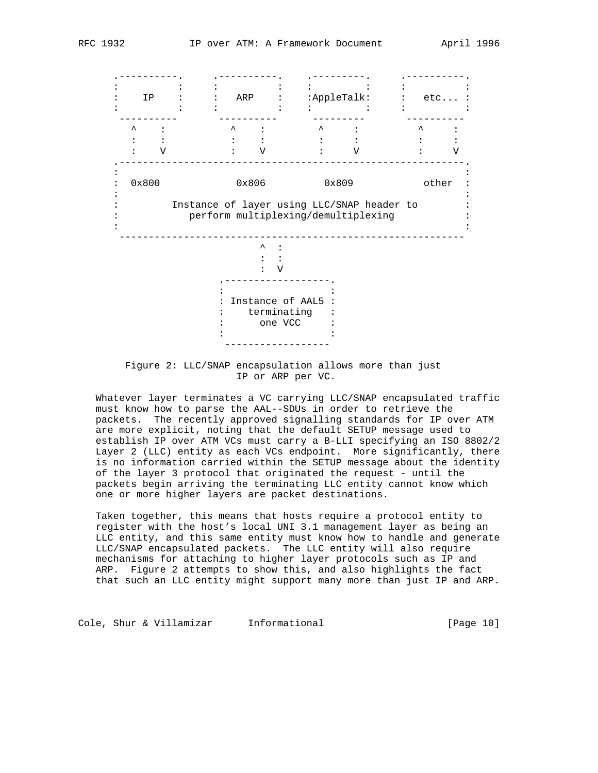.----------. .----------. .---------. .----------.  $\mathcal{L}^{\mathcal{L}}(\mathcal{L}^{\mathcal{L}}(\mathcal{L}^{\mathcal{L}}(\mathcal{L}^{\mathcal{L}}(\mathcal{L}^{\mathcal{L}}(\mathcal{L}^{\mathcal{L}}(\mathcal{L}^{\mathcal{L}}(\mathcal{L}^{\mathcal{L}}(\mathcal{L}^{\mathcal{L}}(\mathcal{L}^{\mathcal{L}}(\mathcal{L}^{\mathcal{L}}(\mathcal{L}^{\mathcal{L}}(\mathcal{L}^{\mathcal{L}}(\mathcal{L}^{\mathcal{L}}(\mathcal{L}^{\mathcal{L}}(\mathcal{L}^{\mathcal{L}}(\mathcal{L}^{\mathcal{L$  : IP : : ARP : :AppleTalk: : etc... :  $\mathcal{L}^{\mathcal{L}}(\mathcal{L}^{\mathcal{L}}(\mathcal{L}^{\mathcal{L}}(\mathcal{L}^{\mathcal{L}}(\mathcal{L}^{\mathcal{L}}(\mathcal{L}^{\mathcal{L}}(\mathcal{L}^{\mathcal{L}}(\mathcal{L}^{\mathcal{L}}(\mathcal{L}^{\mathcal{L}}(\mathcal{L}^{\mathcal{L}}(\mathcal{L}^{\mathcal{L}}(\mathcal{L}^{\mathcal{L}}(\mathcal{L}^{\mathcal{L}}(\mathcal{L}^{\mathcal{L}}(\mathcal{L}^{\mathcal{L}}(\mathcal{L}^{\mathcal{L}}(\mathcal{L}^{\mathcal{L$  ---------- ---------- --------- ----------  $\wedge$  :  $\wedge$  :  $\wedge$  :  $\wedge$  :  $\wedge$  :  $\wedge$  :  $\wedge$  :  $\wedge$  :  $\mathcal{L}^{\mathcal{L}}(\mathcal{L}^{\mathcal{L}}(\mathcal{L}^{\mathcal{L}}(\mathcal{L}^{\mathcal{L}}(\mathcal{L}^{\mathcal{L}}(\mathcal{L}^{\mathcal{L}}(\mathcal{L}^{\mathcal{L}}(\mathcal{L}^{\mathcal{L}}(\mathcal{L}^{\mathcal{L}}(\mathcal{L}^{\mathcal{L}}(\mathcal{L}^{\mathcal{L}}(\mathcal{L}^{\mathcal{L}}(\mathcal{L}^{\mathcal{L}}(\mathcal{L}^{\mathcal{L}}(\mathcal{L}^{\mathcal{L}}(\mathcal{L}^{\mathcal{L}}(\mathcal{L}^{\mathcal{L$  : V : V : V : V .-----------------------------------------------------------. : : : 0x800 0x806 0x809 other : : : : Instance of layer using LLC/SNAP header to : : perform multiplexing/demultiplexing : : : -----------------------------------------------------------  $\begin{array}{ccc} \wedge & \vdots \\ \vdots & \vdots \end{array}$ the contract of the contract of the contract of the contract of the contract of the contract of the contract of : V .------------------. denotes the second control of the second : Instance of AAL5 : : terminating : : one VCC the contract of the contract of the contract of the contract of the contract of the contract of the contract of ------------------

> Figure 2: LLC/SNAP encapsulation allows more than just IP or ARP per VC.

 Whatever layer terminates a VC carrying LLC/SNAP encapsulated traffic must know how to parse the AAL--SDUs in order to retrieve the packets. The recently approved signalling standards for IP over ATM are more explicit, noting that the default SETUP message used to establish IP over ATM VCs must carry a B-LLI specifying an ISO 8802/2 Layer 2 (LLC) entity as each VCs endpoint. More significantly, there is no information carried within the SETUP message about the identity of the layer 3 protocol that originated the request - until the packets begin arriving the terminating LLC entity cannot know which one or more higher layers are packet destinations.

 Taken together, this means that hosts require a protocol entity to register with the host's local UNI 3.1 management layer as being an LLC entity, and this same entity must know how to handle and generate LLC/SNAP encapsulated packets. The LLC entity will also require mechanisms for attaching to higher layer protocols such as IP and ARP. Figure 2 attempts to show this, and also highlights the fact that such an LLC entity might support many more than just IP and ARP.

Cole, Shur & Villamizar Informational (Page 10)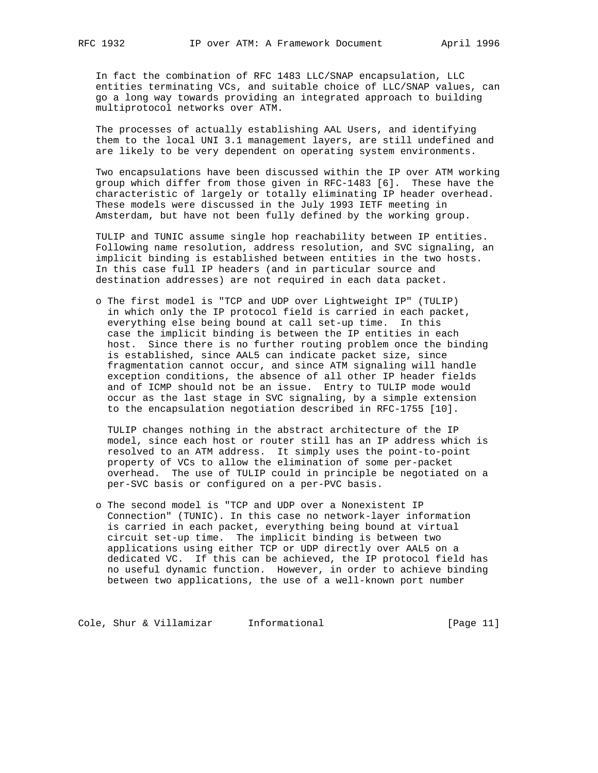In fact the combination of RFC 1483 LLC/SNAP encapsulation, LLC entities terminating VCs, and suitable choice of LLC/SNAP values, can go a long way towards providing an integrated approach to building multiprotocol networks over ATM.

 The processes of actually establishing AAL Users, and identifying them to the local UNI 3.1 management layers, are still undefined and are likely to be very dependent on operating system environments.

 Two encapsulations have been discussed within the IP over ATM working group which differ from those given in RFC-1483 [6]. These have the characteristic of largely or totally eliminating IP header overhead. These models were discussed in the July 1993 IETF meeting in Amsterdam, but have not been fully defined by the working group.

 TULIP and TUNIC assume single hop reachability between IP entities. Following name resolution, address resolution, and SVC signaling, an implicit binding is established between entities in the two hosts. In this case full IP headers (and in particular source and destination addresses) are not required in each data packet.

 o The first model is "TCP and UDP over Lightweight IP" (TULIP) in which only the IP protocol field is carried in each packet, everything else being bound at call set-up time. In this case the implicit binding is between the IP entities in each host. Since there is no further routing problem once the binding is established, since AAL5 can indicate packet size, since fragmentation cannot occur, and since ATM signaling will handle exception conditions, the absence of all other IP header fields and of ICMP should not be an issue. Entry to TULIP mode would occur as the last stage in SVC signaling, by a simple extension to the encapsulation negotiation described in RFC-1755 [10].

 TULIP changes nothing in the abstract architecture of the IP model, since each host or router still has an IP address which is resolved to an ATM address. It simply uses the point-to-point property of VCs to allow the elimination of some per-packet overhead. The use of TULIP could in principle be negotiated on a per-SVC basis or configured on a per-PVC basis.

 o The second model is "TCP and UDP over a Nonexistent IP Connection" (TUNIC). In this case no network-layer information is carried in each packet, everything being bound at virtual circuit set-up time. The implicit binding is between two applications using either TCP or UDP directly over AAL5 on a dedicated VC. If this can be achieved, the IP protocol field has no useful dynamic function. However, in order to achieve binding between two applications, the use of a well-known port number

Cole, Shur & Villamizar Informational (Page 11)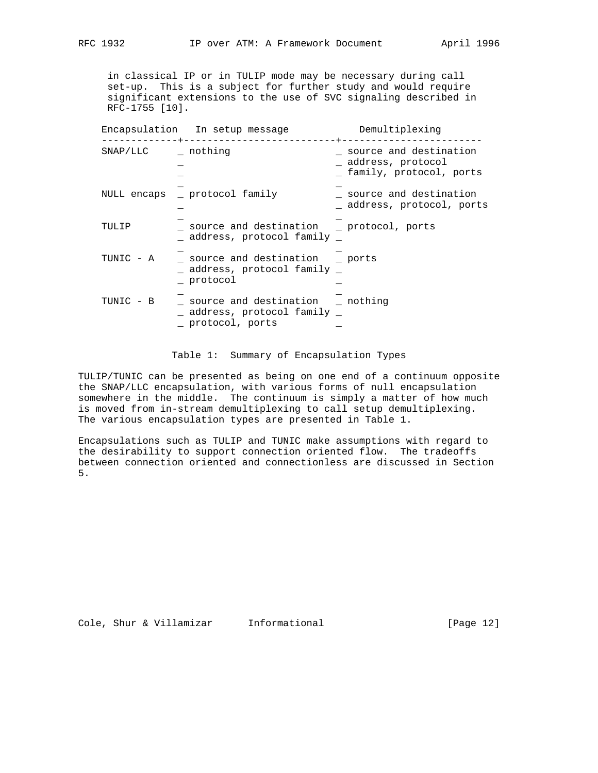in classical IP or in TULIP mode may be necessary during call set-up. This is a subject for further study and would require significant extensions to the use of SVC signaling described in RFC-1755 [10].

|                  | Encapsulation In setup message                                                            | Demultiplexing                                                         |
|------------------|-------------------------------------------------------------------------------------------|------------------------------------------------------------------------|
| SNAP/LLC nothing |                                                                                           | source and destination<br>address, protocol<br>family, protocol, ports |
| NULL encaps      | protocol family                                                                           | source and destination<br>address, protocol, ports                     |
| TULIP            | source and destination brotocol, ports<br>address, protocol family                        |                                                                        |
| TUNIC - A        | source and destination borts<br>$\_$ address, protocol family $\_$<br>protocol            |                                                                        |
| TUNIC - B        | source and destination _ nothing<br>$\_$ address, protocol family $\_$<br>protocol, ports |                                                                        |

### Table 1: Summary of Encapsulation Types

TULIP/TUNIC can be presented as being on one end of a continuum opposite the SNAP/LLC encapsulation, with various forms of null encapsulation somewhere in the middle. The continuum is simply a matter of how much is moved from in-stream demultiplexing to call setup demultiplexing. The various encapsulation types are presented in Table 1.

Encapsulations such as TULIP and TUNIC make assumptions with regard to the desirability to support connection oriented flow. The tradeoffs between connection oriented and connectionless are discussed in Section 5.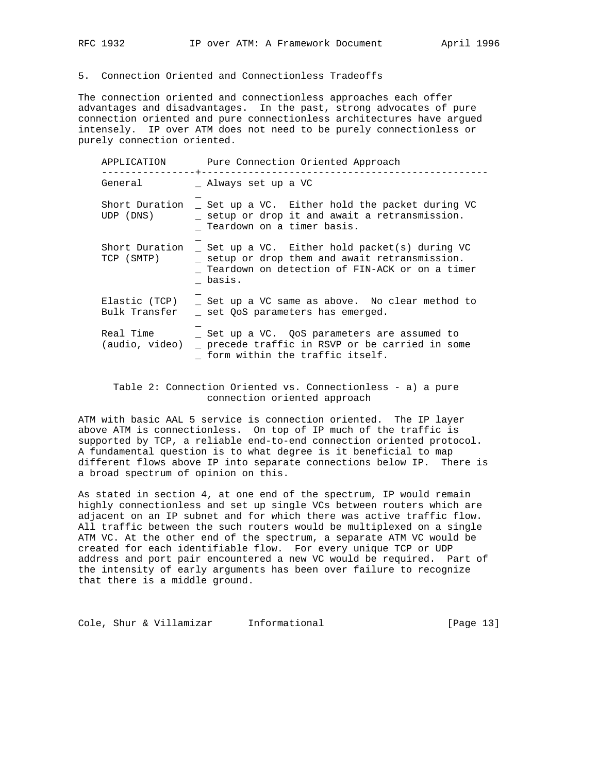# 5. Connection Oriented and Connectionless Tradeoffs

The connection oriented and connectionless approaches each offer advantages and disadvantages. In the past, strong advocates of pure connection oriented and pure connectionless architectures have argued intensely. IP over ATM does not need to be purely connectionless or purely connection oriented.

| APPLICATION                    | Pure Connection Oriented Approach                                                                                                                            |  |  |  |
|--------------------------------|--------------------------------------------------------------------------------------------------------------------------------------------------------------|--|--|--|
| General                        | _ Always set up a VC                                                                                                                                         |  |  |  |
| Short Duration<br>UDP (DNS)    | Set up a VC. Either hold the packet during VC<br>_ setup or drop it and await a retransmission.<br>Teardown on a timer basis.                                |  |  |  |
| Short Duration<br>TCP (SMTP)   | _ Set up a VC. Either hold packet(s) during VC<br>_ setup or drop them and await retransmission.<br>Teardown on detection of FIN-ACK or on a timer<br>basis. |  |  |  |
| Elastic (TCP)<br>Bulk Transfer | Set up a VC same as above. No clear method to<br>set OoS parameters has emerged.                                                                             |  |  |  |
| Real Time<br>(audio, video)    | _ Set up a VC. QoS parameters are assumed to<br>precede traffic in RSVP or be carried in some<br>form within the traffic itself.                             |  |  |  |

 Table 2: Connection Oriented vs. Connectionless - a) a pure connection oriented approach

ATM with basic AAL 5 service is connection oriented. The IP layer above ATM is connectionless. On top of IP much of the traffic is supported by TCP, a reliable end-to-end connection oriented protocol. A fundamental question is to what degree is it beneficial to map different flows above IP into separate connections below IP. There is a broad spectrum of opinion on this.

As stated in section 4, at one end of the spectrum, IP would remain highly connectionless and set up single VCs between routers which are adjacent on an IP subnet and for which there was active traffic flow. All traffic between the such routers would be multiplexed on a single ATM VC. At the other end of the spectrum, a separate ATM VC would be created for each identifiable flow. For every unique TCP or UDP address and port pair encountered a new VC would be required. Part of the intensity of early arguments has been over failure to recognize that there is a middle ground.

Cole, Shur & Villamizar Informational [Page 13]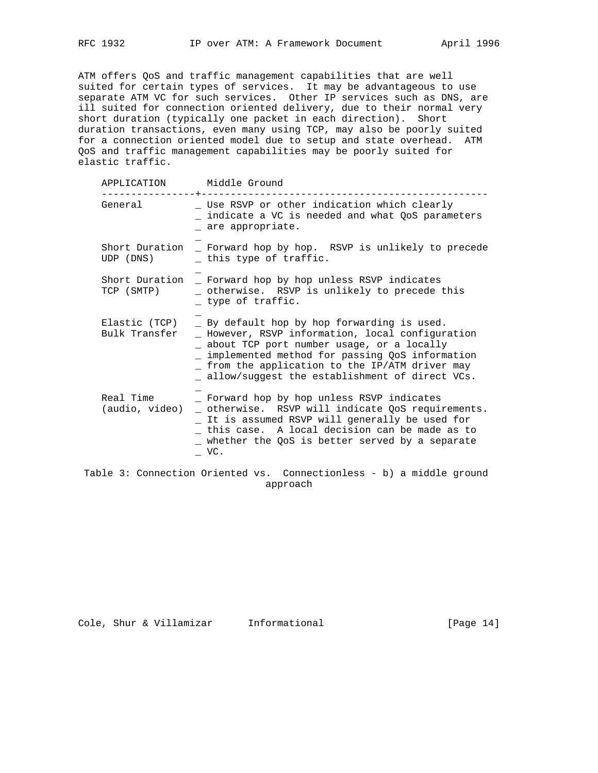ATM offers QoS and traffic management capabilities that are well suited for certain types of services. It may be advantageous to use separate ATM VC for such services. Other IP services such as DNS, are ill suited for connection oriented delivery, due to their normal very short duration (typically one packet in each direction). Short duration transactions, even many using TCP, may also be poorly suited for a connection oriented model due to setup and state overhead. ATM QoS and traffic management capabilities may be poorly suited for elastic traffic.

| Middle Ground                                                                                                                                                                                                                                                                                           |
|---------------------------------------------------------------------------------------------------------------------------------------------------------------------------------------------------------------------------------------------------------------------------------------------------------|
| _ Use RSVP or other indication which clearly<br>_ indicate a VC is needed and what QoS parameters<br>are appropriate.                                                                                                                                                                                   |
| Short Duration _ Forward hop by hop. RSVP is unlikely to precede<br>_ this type of traffic.                                                                                                                                                                                                             |
| Short Duration<br>- Forward hop by hop unless RSVP indicates<br>_ otherwise. RSVP is unlikely to precede this<br>type of traffic.                                                                                                                                                                       |
| _ By default hop by hop forwarding is used.<br>_ However, RSVP information, local configuration<br>_ about TCP port number usage, or a locally<br>_ implemented method for passing QoS information<br>_ from the application to the IP/ATM driver may<br>allow/suggest the establishment of direct VCs. |
| Forward hop by hop unless RSVP indicates<br>_ otherwise. RSVP will indicate QoS requirements.<br>_ It is assumed RSVP will generally be used for<br>this case. A local decision can be made as to<br>_ whether the QoS is better served by a separate<br>VC.                                            |
|                                                                                                                                                                                                                                                                                                         |

 Table 3: Connection Oriented vs. Connectionless - b) a middle ground approach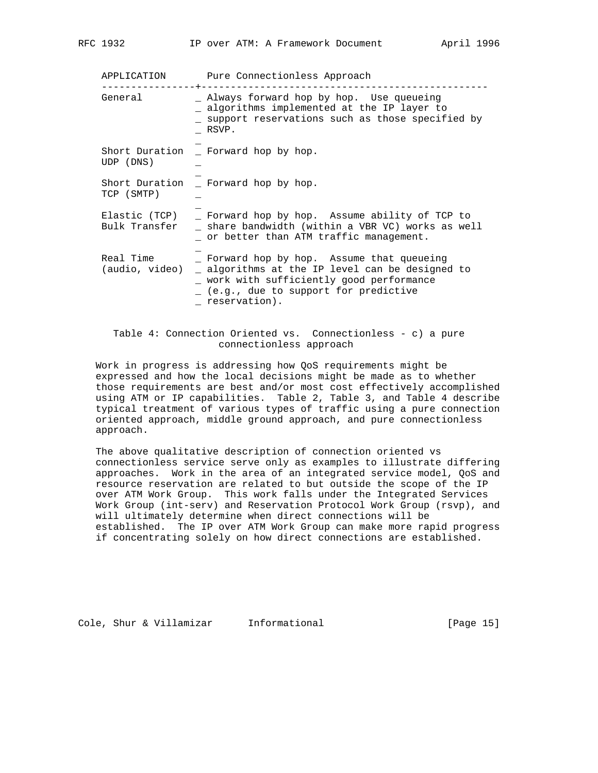APPLICATION Pure Connectionless Approach ----------------+------------------------------------------------- \_ Always forward hop by hop. Use queueing \_ algorithms implemented at the IP layer to \_ support reservations such as those specified by \_ RSVP. \_ Short Duration \_ Forward hop by hop. UDP (DNS) \_ \_ Short Duration \_ Forward hop by hop. TCP (SMTP) \_ \_ Elastic (TCP) \_ Forward hop by hop. Assume ability of TCP to Bulk Transfer \_ share bandwidth (within a VBR VC) works as well \_ or better than ATM traffic management. \_ Real Time  $\qquad \qquad \_$  Forward hop by hop. Assume that queueing (audio, video) \_ algorithms at the IP level can be designed to \_ work with sufficiently good performance \_ (e.g., due to support for predictive \_ reservation).

## Table 4: Connection Oriented vs. Connectionless - c) a pure connectionless approach

 Work in progress is addressing how QoS requirements might be expressed and how the local decisions might be made as to whether those requirements are best and/or most cost effectively accomplished using ATM or IP capabilities. Table 2, Table 3, and Table 4 describe typical treatment of various types of traffic using a pure connection oriented approach, middle ground approach, and pure connectionless approach.

 The above qualitative description of connection oriented vs connectionless service serve only as examples to illustrate differing approaches. Work in the area of an integrated service model, QoS and resource reservation are related to but outside the scope of the IP over ATM Work Group. This work falls under the Integrated Services Work Group (int-serv) and Reservation Protocol Work Group (rsvp), and will ultimately determine when direct connections will be established. The IP over ATM Work Group can make more rapid progress if concentrating solely on how direct connections are established.

Cole, Shur & Villamizar Informational [Page 15]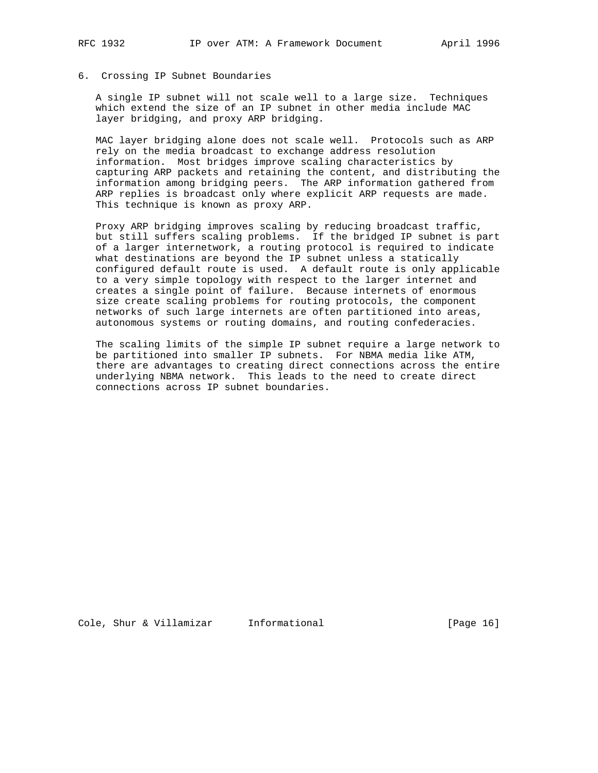# 6. Crossing IP Subnet Boundaries

 A single IP subnet will not scale well to a large size. Techniques which extend the size of an IP subnet in other media include MAC layer bridging, and proxy ARP bridging.

 MAC layer bridging alone does not scale well. Protocols such as ARP rely on the media broadcast to exchange address resolution information. Most bridges improve scaling characteristics by capturing ARP packets and retaining the content, and distributing the information among bridging peers. The ARP information gathered from ARP replies is broadcast only where explicit ARP requests are made. This technique is known as proxy ARP.

 Proxy ARP bridging improves scaling by reducing broadcast traffic, but still suffers scaling problems. If the bridged IP subnet is part of a larger internetwork, a routing protocol is required to indicate what destinations are beyond the IP subnet unless a statically configured default route is used. A default route is only applicable to a very simple topology with respect to the larger internet and creates a single point of failure. Because internets of enormous size create scaling problems for routing protocols, the component networks of such large internets are often partitioned into areas, autonomous systems or routing domains, and routing confederacies.

 The scaling limits of the simple IP subnet require a large network to be partitioned into smaller IP subnets. For NBMA media like ATM, there are advantages to creating direct connections across the entire underlying NBMA network. This leads to the need to create direct connections across IP subnet boundaries.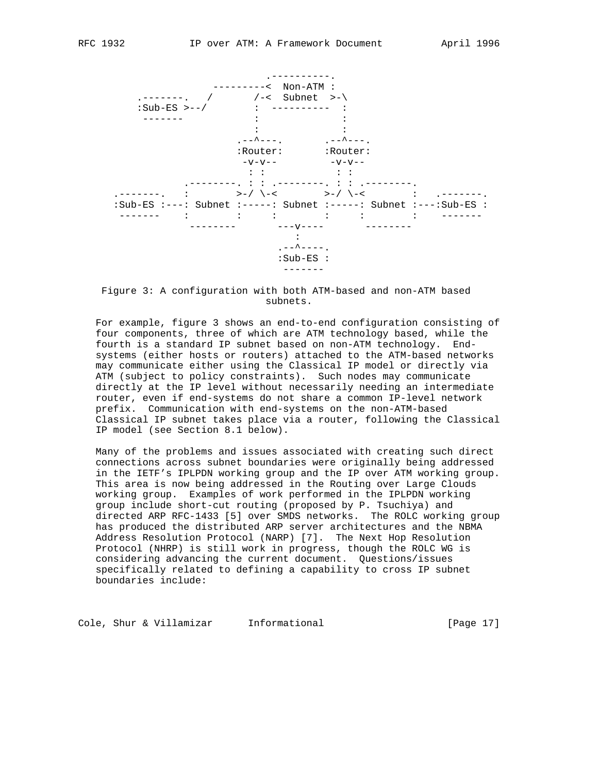

 Figure 3: A configuration with both ATM-based and non-ATM based subnets.

 For example, figure 3 shows an end-to-end configuration consisting of four components, three of which are ATM technology based, while the fourth is a standard IP subnet based on non-ATM technology. End systems (either hosts or routers) attached to the ATM-based networks may communicate either using the Classical IP model or directly via ATM (subject to policy constraints). Such nodes may communicate directly at the IP level without necessarily needing an intermediate router, even if end-systems do not share a common IP-level network prefix. Communication with end-systems on the non-ATM-based Classical IP subnet takes place via a router, following the Classical IP model (see Section 8.1 below).

 Many of the problems and issues associated with creating such direct connections across subnet boundaries were originally being addressed in the IETF's IPLPDN working group and the IP over ATM working group. This area is now being addressed in the Routing over Large Clouds working group. Examples of work performed in the IPLPDN working group include short-cut routing (proposed by P. Tsuchiya) and directed ARP RFC-1433 [5] over SMDS networks. The ROLC working group has produced the distributed ARP server architectures and the NBMA Address Resolution Protocol (NARP) [7]. The Next Hop Resolution Protocol (NHRP) is still work in progress, though the ROLC WG is considering advancing the current document. Questions/issues specifically related to defining a capability to cross IP subnet boundaries include:

Cole, Shur & Villamizar Informational (Page 17)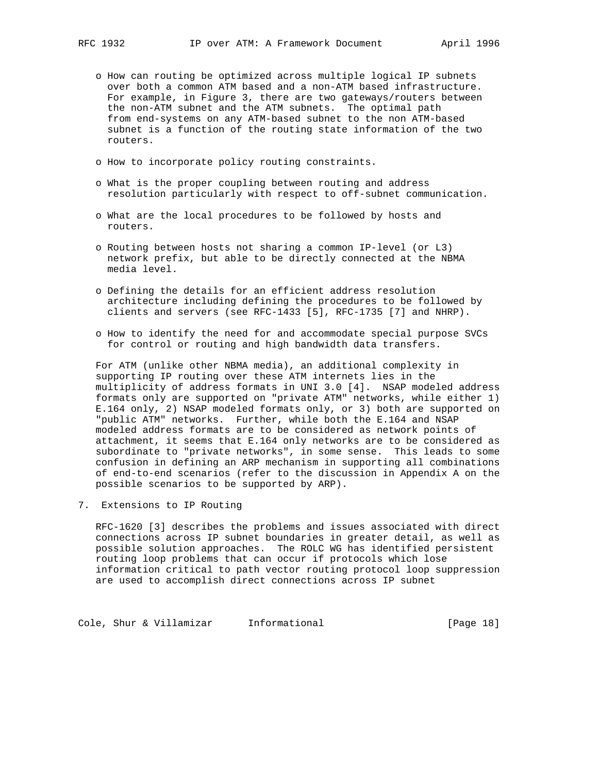- o How can routing be optimized across multiple logical IP subnets over both a common ATM based and a non-ATM based infrastructure. For example, in Figure 3, there are two gateways/routers between the non-ATM subnet and the ATM subnets. The optimal path from end-systems on any ATM-based subnet to the non ATM-based subnet is a function of the routing state information of the two routers.
- o How to incorporate policy routing constraints.
- o What is the proper coupling between routing and address resolution particularly with respect to off-subnet communication.
- o What are the local procedures to be followed by hosts and routers.
- o Routing between hosts not sharing a common IP-level (or L3) network prefix, but able to be directly connected at the NBMA media level.
- o Defining the details for an efficient address resolution architecture including defining the procedures to be followed by clients and servers (see RFC-1433 [5], RFC-1735 [7] and NHRP).
- o How to identify the need for and accommodate special purpose SVCs for control or routing and high bandwidth data transfers.

 For ATM (unlike other NBMA media), an additional complexity in supporting IP routing over these ATM internets lies in the multiplicity of address formats in UNI 3.0 [4]. NSAP modeled address formats only are supported on "private ATM" networks, while either 1) E.164 only, 2) NSAP modeled formats only, or 3) both are supported on "public ATM" networks. Further, while both the E.164 and NSAP modeled address formats are to be considered as network points of attachment, it seems that E.164 only networks are to be considered as subordinate to "private networks", in some sense. This leads to some confusion in defining an ARP mechanism in supporting all combinations of end-to-end scenarios (refer to the discussion in Appendix A on the possible scenarios to be supported by ARP).

7. Extensions to IP Routing

 RFC-1620 [3] describes the problems and issues associated with direct connections across IP subnet boundaries in greater detail, as well as possible solution approaches. The ROLC WG has identified persistent routing loop problems that can occur if protocols which lose information critical to path vector routing protocol loop suppression are used to accomplish direct connections across IP subnet

Cole, Shur & Villamizar Informational (Page 18)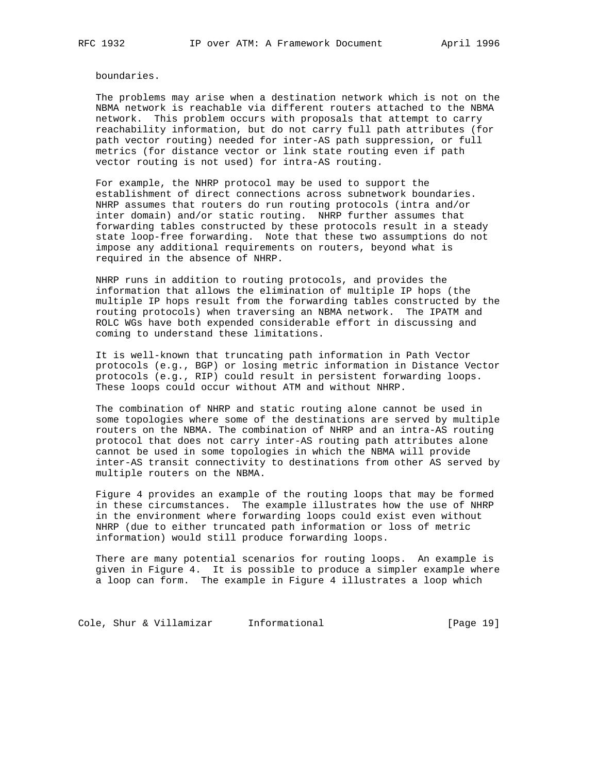boundaries.

 The problems may arise when a destination network which is not on the NBMA network is reachable via different routers attached to the NBMA network. This problem occurs with proposals that attempt to carry reachability information, but do not carry full path attributes (for path vector routing) needed for inter-AS path suppression, or full metrics (for distance vector or link state routing even if path vector routing is not used) for intra-AS routing.

 For example, the NHRP protocol may be used to support the establishment of direct connections across subnetwork boundaries. NHRP assumes that routers do run routing protocols (intra and/or inter domain) and/or static routing. NHRP further assumes that forwarding tables constructed by these protocols result in a steady state loop-free forwarding. Note that these two assumptions do not impose any additional requirements on routers, beyond what is required in the absence of NHRP.

 NHRP runs in addition to routing protocols, and provides the information that allows the elimination of multiple IP hops (the multiple IP hops result from the forwarding tables constructed by the routing protocols) when traversing an NBMA network. The IPATM and ROLC WGs have both expended considerable effort in discussing and coming to understand these limitations.

 It is well-known that truncating path information in Path Vector protocols (e.g., BGP) or losing metric information in Distance Vector protocols (e.g., RIP) could result in persistent forwarding loops. These loops could occur without ATM and without NHRP.

 The combination of NHRP and static routing alone cannot be used in some topologies where some of the destinations are served by multiple routers on the NBMA. The combination of NHRP and an intra-AS routing protocol that does not carry inter-AS routing path attributes alone cannot be used in some topologies in which the NBMA will provide inter-AS transit connectivity to destinations from other AS served by multiple routers on the NBMA.

 Figure 4 provides an example of the routing loops that may be formed in these circumstances. The example illustrates how the use of NHRP in the environment where forwarding loops could exist even without NHRP (due to either truncated path information or loss of metric information) would still produce forwarding loops.

 There are many potential scenarios for routing loops. An example is given in Figure 4. It is possible to produce a simpler example where a loop can form. The example in Figure 4 illustrates a loop which

Cole, Shur & Villamizar Informational [Page 19]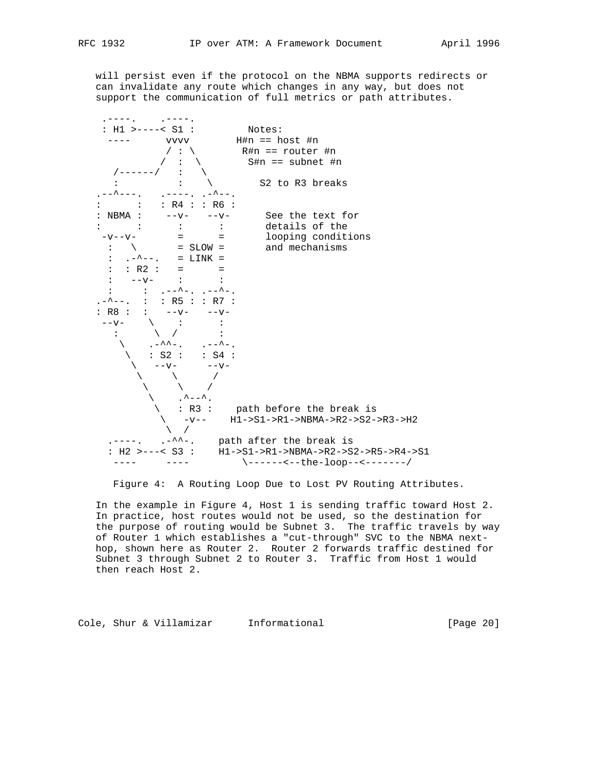will persist even if the protocol on the NBMA supports redirects or can invalidate any route which changes in any way, but does not support the communication of full metrics or path attributes.



Figure 4: A Routing Loop Due to Lost PV Routing Attributes.

 In the example in Figure 4, Host 1 is sending traffic toward Host 2. In practice, host routes would not be used, so the destination for the purpose of routing would be Subnet 3. The traffic travels by way of Router 1 which establishes a "cut-through" SVC to the NBMA next hop, shown here as Router 2. Router 2 forwards traffic destined for Subnet 3 through Subnet 2 to Router 3. Traffic from Host 1 would then reach Host 2.

Cole, Shur & Villamizar Informational [Page 20]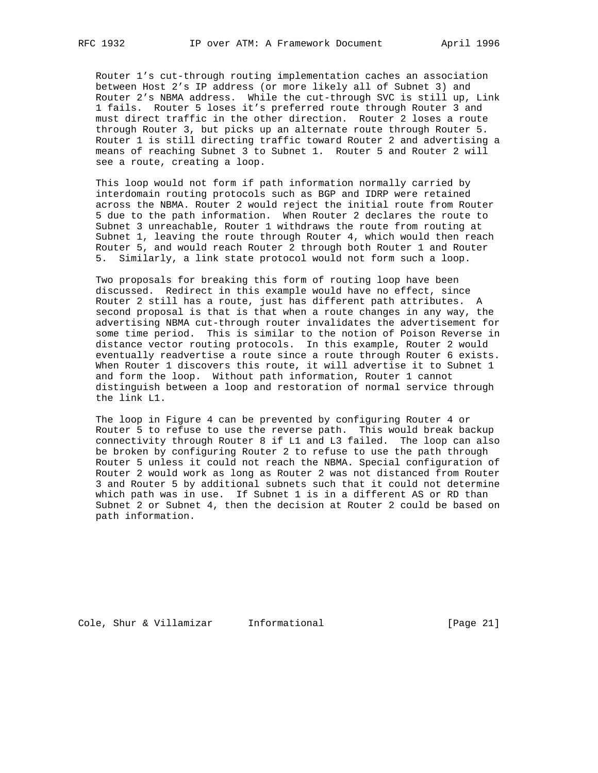Router 1's cut-through routing implementation caches an association between Host 2's IP address (or more likely all of Subnet 3) and Router 2's NBMA address. While the cut-through SVC is still up, Link 1 fails. Router 5 loses it's preferred route through Router 3 and must direct traffic in the other direction. Router 2 loses a route through Router 3, but picks up an alternate route through Router 5. Router 1 is still directing traffic toward Router 2 and advertising a means of reaching Subnet 3 to Subnet 1. Router 5 and Router 2 will see a route, creating a loop.

 This loop would not form if path information normally carried by interdomain routing protocols such as BGP and IDRP were retained across the NBMA. Router 2 would reject the initial route from Router 5 due to the path information. When Router 2 declares the route to Subnet 3 unreachable, Router 1 withdraws the route from routing at Subnet 1, leaving the route through Router 4, which would then reach Router 5, and would reach Router 2 through both Router 1 and Router 5. Similarly, a link state protocol would not form such a loop.

 Two proposals for breaking this form of routing loop have been discussed. Redirect in this example would have no effect, since Router 2 still has a route, just has different path attributes. A second proposal is that is that when a route changes in any way, the advertising NBMA cut-through router invalidates the advertisement for some time period. This is similar to the notion of Poison Reverse in distance vector routing protocols. In this example, Router 2 would eventually readvertise a route since a route through Router 6 exists. When Router 1 discovers this route, it will advertise it to Subnet 1 and form the loop. Without path information, Router 1 cannot distinguish between a loop and restoration of normal service through the link L1.

 The loop in Figure 4 can be prevented by configuring Router 4 or Router 5 to refuse to use the reverse path. This would break backup connectivity through Router 8 if L1 and L3 failed. The loop can also be broken by configuring Router 2 to refuse to use the path through Router 5 unless it could not reach the NBMA. Special configuration of Router 2 would work as long as Router 2 was not distanced from Router 3 and Router 5 by additional subnets such that it could not determine which path was in use. If Subnet 1 is in a different AS or RD than Subnet 2 or Subnet 4, then the decision at Router 2 could be based on path information.

Cole, Shur & Villamizar Informational [Page 21]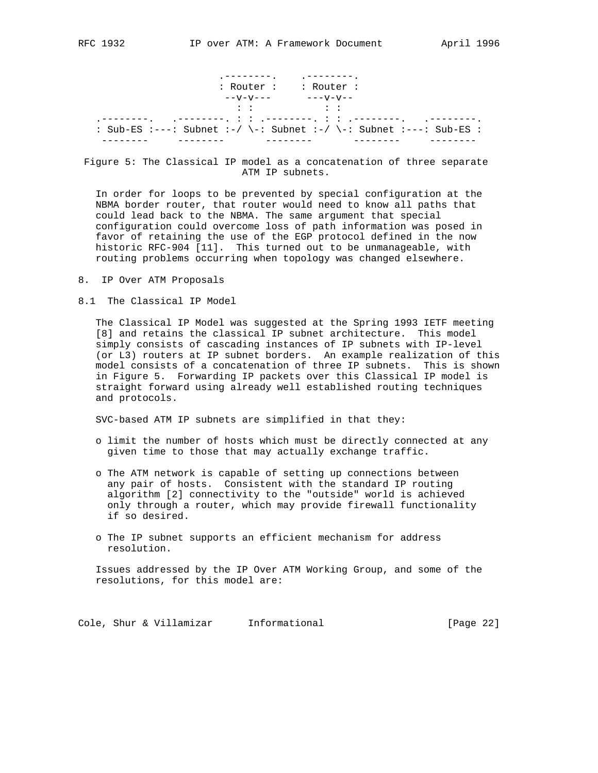|                                                                    | . ---------.<br>$:$ Router : $:$ Router :               |  |
|--------------------------------------------------------------------|---------------------------------------------------------|--|
|                                                                    | $- -V - V - -  - - -V - V - - -$<br>しゅうせい アーバー・アーバー はいば |  |
| : Sub-ES :---: Subnet :-/ \-: Subnet :-/ \-: Subnet :---: Sub-ES : |                                                         |  |

 Figure 5: The Classical IP model as a concatenation of three separate ATM IP subnets.

 In order for loops to be prevented by special configuration at the NBMA border router, that router would need to know all paths that could lead back to the NBMA. The same argument that special configuration could overcome loss of path information was posed in favor of retaining the use of the EGP protocol defined in the now historic RFC-904 [11]. This turned out to be unmanageable, with routing problems occurring when topology was changed elsewhere.

- 8. IP Over ATM Proposals
- 8.1 The Classical IP Model

 The Classical IP Model was suggested at the Spring 1993 IETF meeting [8] and retains the classical IP subnet architecture. This model simply consists of cascading instances of IP subnets with IP-level (or L3) routers at IP subnet borders. An example realization of this model consists of a concatenation of three IP subnets. This is shown in Figure 5. Forwarding IP packets over this Classical IP model is straight forward using already well established routing techniques and protocols.

SVC-based ATM IP subnets are simplified in that they:

- o limit the number of hosts which must be directly connected at any given time to those that may actually exchange traffic.
- o The ATM network is capable of setting up connections between any pair of hosts. Consistent with the standard IP routing algorithm [2] connectivity to the "outside" world is achieved only through a router, which may provide firewall functionality if so desired.
- o The IP subnet supports an efficient mechanism for address resolution.

 Issues addressed by the IP Over ATM Working Group, and some of the resolutions, for this model are:

Cole, Shur & Villamizar Informational [Page 22]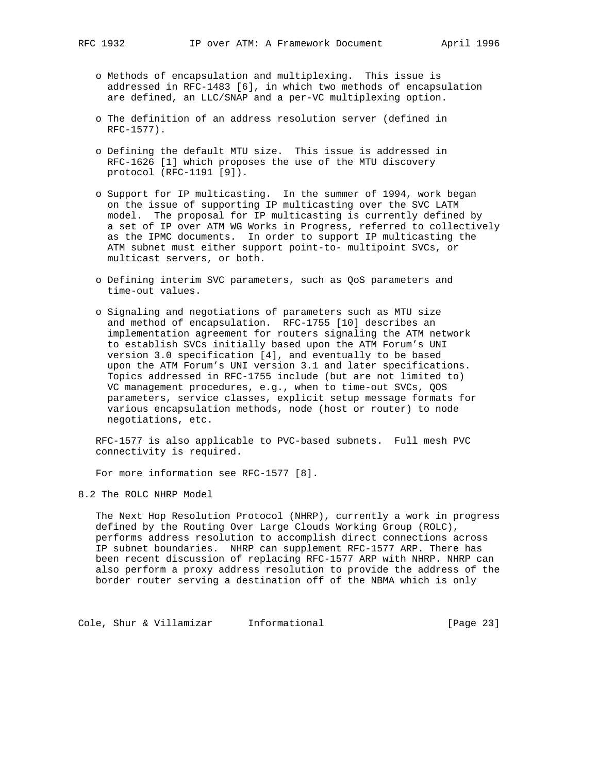- o Methods of encapsulation and multiplexing. This issue is addressed in RFC-1483 [6], in which two methods of encapsulation are defined, an LLC/SNAP and a per-VC multiplexing option.
- o The definition of an address resolution server (defined in RFC-1577).
- o Defining the default MTU size. This issue is addressed in RFC-1626 [1] which proposes the use of the MTU discovery protocol (RFC-1191 [9]).
- o Support for IP multicasting. In the summer of 1994, work began on the issue of supporting IP multicasting over the SVC LATM model. The proposal for IP multicasting is currently defined by a set of IP over ATM WG Works in Progress, referred to collectively as the IPMC documents. In order to support IP multicasting the ATM subnet must either support point-to- multipoint SVCs, or multicast servers, or both.
- o Defining interim SVC parameters, such as QoS parameters and time-out values.
- o Signaling and negotiations of parameters such as MTU size and method of encapsulation. RFC-1755 [10] describes an implementation agreement for routers signaling the ATM network to establish SVCs initially based upon the ATM Forum's UNI version 3.0 specification [4], and eventually to be based upon the ATM Forum's UNI version 3.1 and later specifications. Topics addressed in RFC-1755 include (but are not limited to) VC management procedures, e.g., when to time-out SVCs, QOS parameters, service classes, explicit setup message formats for various encapsulation methods, node (host or router) to node negotiations, etc.

 RFC-1577 is also applicable to PVC-based subnets. Full mesh PVC connectivity is required.

For more information see RFC-1577 [8].

8.2 The ROLC NHRP Model

 The Next Hop Resolution Protocol (NHRP), currently a work in progress defined by the Routing Over Large Clouds Working Group (ROLC), performs address resolution to accomplish direct connections across IP subnet boundaries. NHRP can supplement RFC-1577 ARP. There has been recent discussion of replacing RFC-1577 ARP with NHRP. NHRP can also perform a proxy address resolution to provide the address of the border router serving a destination off of the NBMA which is only

Cole, Shur & Villamizar Informational [Page 23]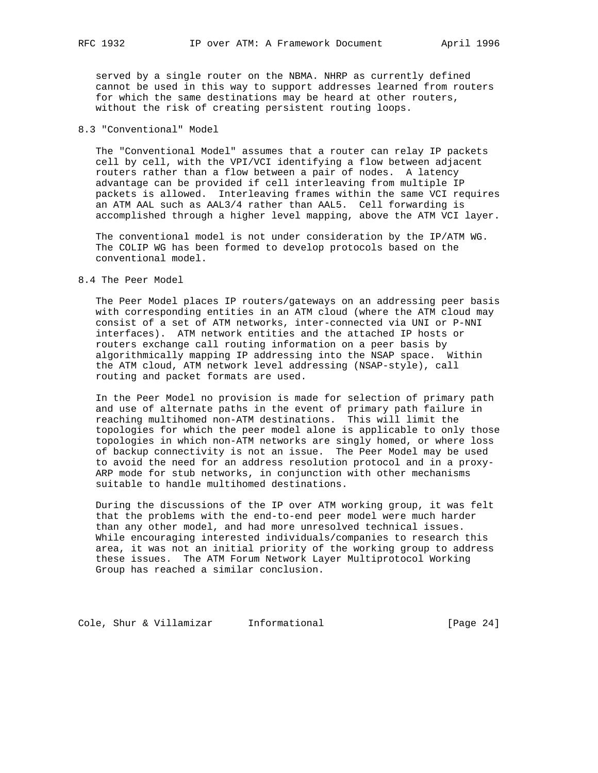served by a single router on the NBMA. NHRP as currently defined cannot be used in this way to support addresses learned from routers for which the same destinations may be heard at other routers, without the risk of creating persistent routing loops.

## 8.3 "Conventional" Model

 The "Conventional Model" assumes that a router can relay IP packets cell by cell, with the VPI/VCI identifying a flow between adjacent routers rather than a flow between a pair of nodes. A latency advantage can be provided if cell interleaving from multiple IP packets is allowed. Interleaving frames within the same VCI requires an ATM AAL such as AAL3/4 rather than AAL5. Cell forwarding is accomplished through a higher level mapping, above the ATM VCI layer.

 The conventional model is not under consideration by the IP/ATM WG. The COLIP WG has been formed to develop protocols based on the conventional model.

### 8.4 The Peer Model

 The Peer Model places IP routers/gateways on an addressing peer basis with corresponding entities in an ATM cloud (where the ATM cloud may consist of a set of ATM networks, inter-connected via UNI or P-NNI interfaces). ATM network entities and the attached IP hosts or routers exchange call routing information on a peer basis by algorithmically mapping IP addressing into the NSAP space. Within the ATM cloud, ATM network level addressing (NSAP-style), call routing and packet formats are used.

 In the Peer Model no provision is made for selection of primary path and use of alternate paths in the event of primary path failure in reaching multihomed non-ATM destinations. This will limit the topologies for which the peer model alone is applicable to only those topologies in which non-ATM networks are singly homed, or where loss of backup connectivity is not an issue. The Peer Model may be used to avoid the need for an address resolution protocol and in a proxy- ARP mode for stub networks, in conjunction with other mechanisms suitable to handle multihomed destinations.

 During the discussions of the IP over ATM working group, it was felt that the problems with the end-to-end peer model were much harder than any other model, and had more unresolved technical issues. While encouraging interested individuals/companies to research this area, it was not an initial priority of the working group to address these issues. The ATM Forum Network Layer Multiprotocol Working Group has reached a similar conclusion.

Cole, Shur & Villamizar Informational [Page 24]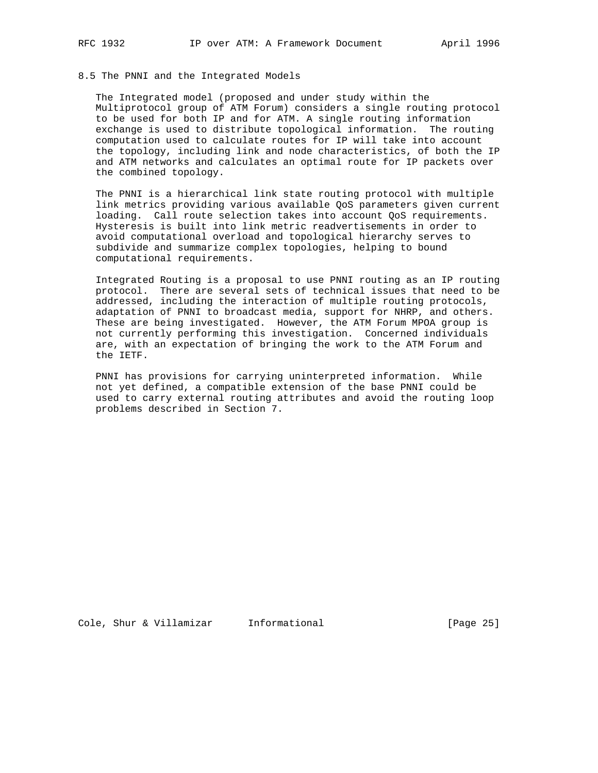## 8.5 The PNNI and the Integrated Models

 The Integrated model (proposed and under study within the Multiprotocol group of ATM Forum) considers a single routing protocol to be used for both IP and for ATM. A single routing information exchange is used to distribute topological information. The routing computation used to calculate routes for IP will take into account the topology, including link and node characteristics, of both the IP and ATM networks and calculates an optimal route for IP packets over the combined topology.

 The PNNI is a hierarchical link state routing protocol with multiple link metrics providing various available QoS parameters given current loading. Call route selection takes into account QoS requirements. Hysteresis is built into link metric readvertisements in order to avoid computational overload and topological hierarchy serves to subdivide and summarize complex topologies, helping to bound computational requirements.

 Integrated Routing is a proposal to use PNNI routing as an IP routing protocol. There are several sets of technical issues that need to be addressed, including the interaction of multiple routing protocols, adaptation of PNNI to broadcast media, support for NHRP, and others. These are being investigated. However, the ATM Forum MPOA group is not currently performing this investigation. Concerned individuals are, with an expectation of bringing the work to the ATM Forum and the IETF.

 PNNI has provisions for carrying uninterpreted information. While not yet defined, a compatible extension of the base PNNI could be used to carry external routing attributes and avoid the routing loop problems described in Section 7.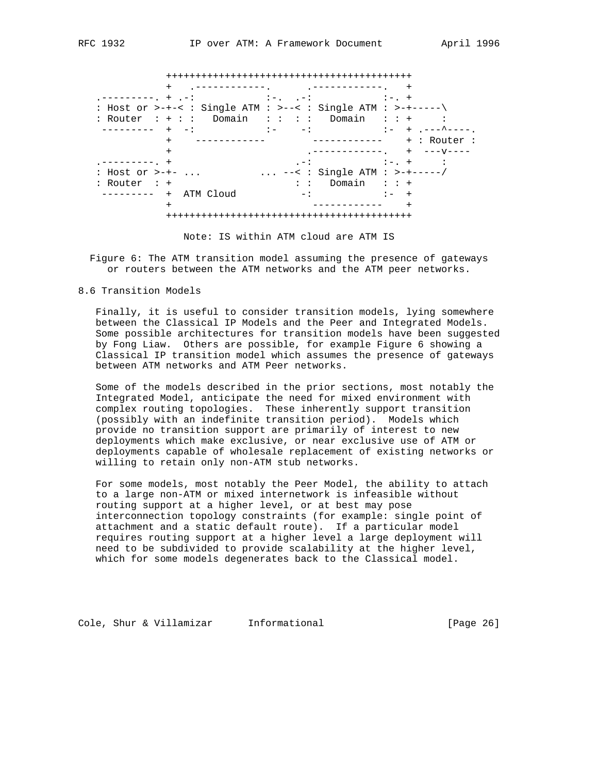++++++++++++++++++++++++++++++++++++++++++ + .------------. .------------. + .---------. + .-: :-. .-: :-. + : Host or >-+-< : Single ATM : >--< : Single ATM : >-+-----\ : Router : + : : Domain : : : : Domain : : + : ---------- + -: :- -: :- + .---^----. + ------------ ------------ + : Router : + .------------. + ---v---- .---------. + .-: :-. + : : Host or >-+- ... ... ... --< : Single ATM : >-+-----/ : Router : +  $\qquad \qquad : \qquad$  : Domain : : + --------- + ATM Cloud -: :- + + ------------ + ++++++++++++++++++++++++++++++++++++++++++

Note: IS within ATM cloud are ATM IS

 Figure 6: The ATM transition model assuming the presence of gateways or routers between the ATM networks and the ATM peer networks.

8.6 Transition Models

 Finally, it is useful to consider transition models, lying somewhere between the Classical IP Models and the Peer and Integrated Models. Some possible architectures for transition models have been suggested by Fong Liaw. Others are possible, for example Figure 6 showing a Classical IP transition model which assumes the presence of gateways between ATM networks and ATM Peer networks.

 Some of the models described in the prior sections, most notably the Integrated Model, anticipate the need for mixed environment with complex routing topologies. These inherently support transition (possibly with an indefinite transition period). Models which provide no transition support are primarily of interest to new deployments which make exclusive, or near exclusive use of ATM or deployments capable of wholesale replacement of existing networks or willing to retain only non-ATM stub networks.

 For some models, most notably the Peer Model, the ability to attach to a large non-ATM or mixed internetwork is infeasible without routing support at a higher level, or at best may pose interconnection topology constraints (for example: single point of attachment and a static default route). If a particular model requires routing support at a higher level a large deployment will need to be subdivided to provide scalability at the higher level, which for some models degenerates back to the Classical model.

Cole, Shur & Villamizar Informational [Page 26]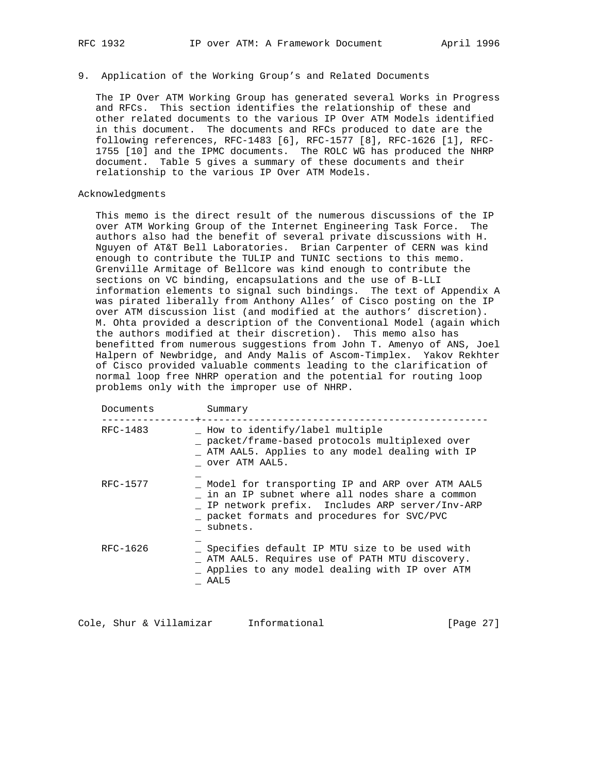### 9. Application of the Working Group's and Related Documents

 The IP Over ATM Working Group has generated several Works in Progress and RFCs. This section identifies the relationship of these and other related documents to the various IP Over ATM Models identified in this document. The documents and RFCs produced to date are the following references, RFC-1483 [6], RFC-1577 [8], RFC-1626 [1], RFC- 1755 [10] and the IPMC documents. The ROLC WG has produced the NHRP document. Table 5 gives a summary of these documents and their relationship to the various IP Over ATM Models.

## Acknowledgments

 This memo is the direct result of the numerous discussions of the IP over ATM Working Group of the Internet Engineering Task Force. The authors also had the benefit of several private discussions with H. Nguyen of AT&T Bell Laboratories. Brian Carpenter of CERN was kind enough to contribute the TULIP and TUNIC sections to this memo. Grenville Armitage of Bellcore was kind enough to contribute the sections on VC binding, encapsulations and the use of B-LLI information elements to signal such bindings. The text of Appendix A was pirated liberally from Anthony Alles' of Cisco posting on the IP over ATM discussion list (and modified at the authors' discretion). M. Ohta provided a description of the Conventional Model (again which the authors modified at their discretion). This memo also has benefitted from numerous suggestions from John T. Amenyo of ANS, Joel Halpern of Newbridge, and Andy Malis of Ascom-Timplex. Yakov Rekhter of Cisco provided valuable comments leading to the clarification of normal loop free NHRP operation and the potential for routing loop problems only with the improper use of NHRP.

| Documents | Summary                                                                                                                                                                                                      |
|-----------|--------------------------------------------------------------------------------------------------------------------------------------------------------------------------------------------------------------|
| RFC-1483  | How to identify/label multiple<br>_ packet/frame-based protocols multiplexed over<br>ATM AAL5. Applies to any model dealing with IP<br>over ATM AAL5.                                                        |
| RFC-1577  | Model for transporting IP and ARP over ATM AAL5<br>in an IP subnet where all nodes share a common<br>IP network prefix. Includes ARP server/Inv-ARP<br>packet formats and procedures for SVC/PVC<br>subnets. |
| RFC-1626  | _ Specifies default IP MTU size to be used with<br>_ ATM AAL5. Requires use of PATH MTU discovery.<br>_ Applies to any model dealing with IP over ATM<br>AAL5                                                |

Cole, Shur & Villamizar Informational [Page 27]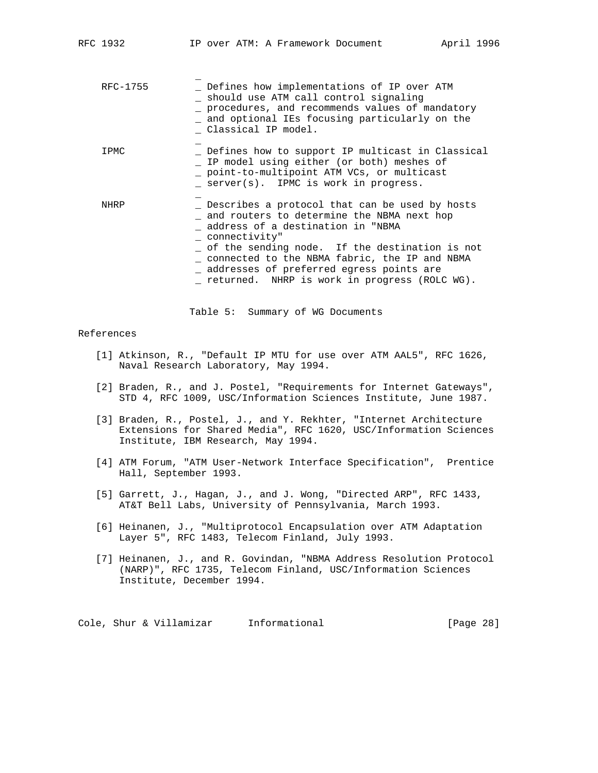| RFC-1755    | Defines how implementations of IP over ATM<br>should use ATM call control signaling<br>procedures, and recommends values of mandatory<br>and optional IEs focusing particularly on the<br>Classical IP model.                                                                                                                                          |
|-------------|--------------------------------------------------------------------------------------------------------------------------------------------------------------------------------------------------------------------------------------------------------------------------------------------------------------------------------------------------------|
| IPMC        | Defines how to support IP multicast in Classical<br>IP model using either (or both) meshes of<br>point-to-multipoint ATM VCs, or multicast<br>server(s). IPMC is work in progress.                                                                                                                                                                     |
| <b>NHRP</b> | Describes a protocol that can be used by hosts<br>_ and routers to determine the NBMA next hop<br>address of a destination in "NBMA<br>connectivity"<br>of the sending node. If the destination is not<br>connected to the NBMA fabric, the IP and NBMA<br>addresses of preferred egress points are<br>_ returned. NHRP is work in progress (ROLC WG). |

Table 5: Summary of WG Documents

## References

- [1] Atkinson, R., "Default IP MTU for use over ATM AAL5", RFC 1626, Naval Research Laboratory, May 1994.
- [2] Braden, R., and J. Postel, "Requirements for Internet Gateways", STD 4, RFC 1009, USC/Information Sciences Institute, June 1987.
- [3] Braden, R., Postel, J., and Y. Rekhter, "Internet Architecture Extensions for Shared Media", RFC 1620, USC/Information Sciences Institute, IBM Research, May 1994.
- [4] ATM Forum, "ATM User-Network Interface Specification", Prentice Hall, September 1993.
- [5] Garrett, J., Hagan, J., and J. Wong, "Directed ARP", RFC 1433, AT&T Bell Labs, University of Pennsylvania, March 1993.
- [6] Heinanen, J., "Multiprotocol Encapsulation over ATM Adaptation Layer 5", RFC 1483, Telecom Finland, July 1993.
- [7] Heinanen, J., and R. Govindan, "NBMA Address Resolution Protocol (NARP)", RFC 1735, Telecom Finland, USC/Information Sciences Institute, December 1994.

Cole, Shur & Villamizar Informational [Page 28]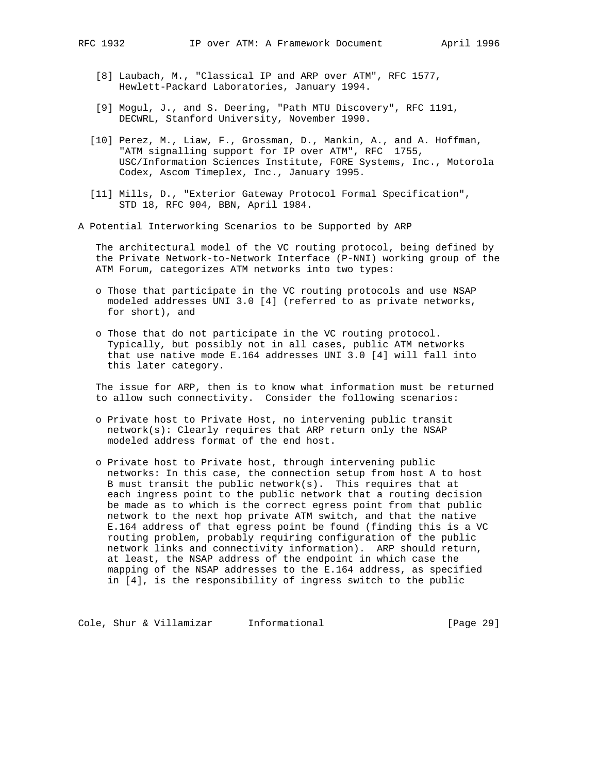- [8] Laubach, M., "Classical IP and ARP over ATM", RFC 1577, Hewlett-Packard Laboratories, January 1994.
- [9] Mogul, J., and S. Deering, "Path MTU Discovery", RFC 1191, DECWRL, Stanford University, November 1990.
- [10] Perez, M., Liaw, F., Grossman, D., Mankin, A., and A. Hoffman, "ATM signalling support for IP over ATM", RFC 1755, USC/Information Sciences Institute, FORE Systems, Inc., Motorola Codex, Ascom Timeplex, Inc., January 1995.
- [11] Mills, D., "Exterior Gateway Protocol Formal Specification", STD 18, RFC 904, BBN, April 1984.
- A Potential Interworking Scenarios to be Supported by ARP

 The architectural model of the VC routing protocol, being defined by the Private Network-to-Network Interface (P-NNI) working group of the ATM Forum, categorizes ATM networks into two types:

- o Those that participate in the VC routing protocols and use NSAP modeled addresses UNI 3.0 [4] (referred to as private networks, for short), and
- o Those that do not participate in the VC routing protocol. Typically, but possibly not in all cases, public ATM networks that use native mode E.164 addresses UNI 3.0 [4] will fall into this later category.

 The issue for ARP, then is to know what information must be returned to allow such connectivity. Consider the following scenarios:

- o Private host to Private Host, no intervening public transit network(s): Clearly requires that ARP return only the NSAP modeled address format of the end host.
- o Private host to Private host, through intervening public networks: In this case, the connection setup from host A to host B must transit the public network(s). This requires that at each ingress point to the public network that a routing decision be made as to which is the correct egress point from that public network to the next hop private ATM switch, and that the native E.164 address of that egress point be found (finding this is a VC routing problem, probably requiring configuration of the public network links and connectivity information). ARP should return, at least, the NSAP address of the endpoint in which case the mapping of the NSAP addresses to the E.164 address, as specified in [4], is the responsibility of ingress switch to the public

Cole, Shur & Villamizar Informational [Page 29]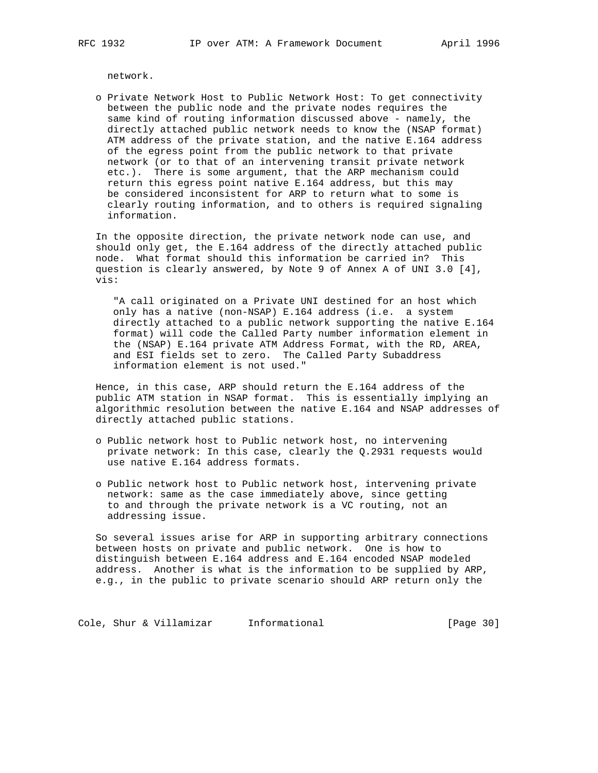network.

 o Private Network Host to Public Network Host: To get connectivity between the public node and the private nodes requires the same kind of routing information discussed above - namely, the directly attached public network needs to know the (NSAP format) ATM address of the private station, and the native E.164 address of the egress point from the public network to that private network (or to that of an intervening transit private network etc.). There is some argument, that the ARP mechanism could return this egress point native E.164 address, but this may be considered inconsistent for ARP to return what to some is clearly routing information, and to others is required signaling information.

 In the opposite direction, the private network node can use, and should only get, the E.164 address of the directly attached public node. What format should this information be carried in? This question is clearly answered, by Note 9 of Annex A of UNI 3.0 [4], vis:

 "A call originated on a Private UNI destined for an host which only has a native (non-NSAP) E.164 address (i.e. a system directly attached to a public network supporting the native E.164 format) will code the Called Party number information element in the (NSAP) E.164 private ATM Address Format, with the RD, AREA, and ESI fields set to zero. The Called Party Subaddress information element is not used."

 Hence, in this case, ARP should return the E.164 address of the public ATM station in NSAP format. This is essentially implying an algorithmic resolution between the native E.164 and NSAP addresses of directly attached public stations.

- o Public network host to Public network host, no intervening private network: In this case, clearly the Q.2931 requests would use native E.164 address formats.
- o Public network host to Public network host, intervening private network: same as the case immediately above, since getting to and through the private network is a VC routing, not an addressing issue.

 So several issues arise for ARP in supporting arbitrary connections between hosts on private and public network. One is how to distinguish between E.164 address and E.164 encoded NSAP modeled address. Another is what is the information to be supplied by ARP, e.g., in the public to private scenario should ARP return only the

Cole, Shur & Villamizar Informational (Page 30)